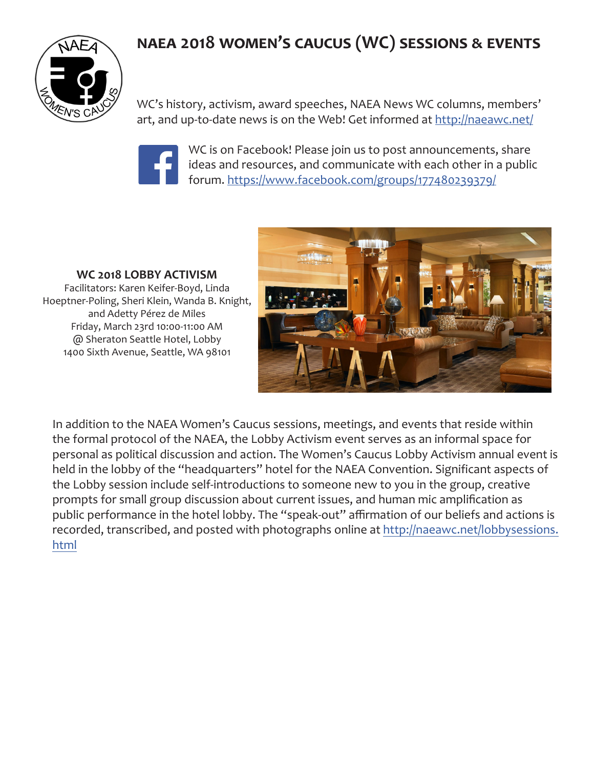

WC's history, activism, award speeches, NAEA News WC columns, members' art, and up-to-date news is on the Web! Get informed at <http://naeawc.net/>



WC is on Facebook! Please join us to post announcements, share ideas and resources, and communicate with each other in a public forum.<https://www.facebook.com/groups/177480239379/>

**WC 2018 LOBBY ACTIVISM** Facilitators: Karen Keifer-Boyd, Linda Hoeptner-Poling, Sheri Klein, Wanda B. Knight, and Adetty Pérez de Miles Friday, March 23rd 10:00-11:00 AM @ Sheraton Seattle Hotel, Lobby 1400 Sixth Avenue, Seattle, WA 98101



In addition to the NAEA Women's Caucus sessions, meetings, and events that reside within the formal protocol of the NAEA, the Lobby Activism event serves as an informal space for personal as political discussion and action. The Women's Caucus Lobby Activism annual event is held in the lobby of the "headquarters" hotel for the NAEA Convention. Significant aspects of the Lobby session include self-introductions to someone new to you in the group, creative prompts for small group discussion about current issues, and human mic amplification as public performance in the hotel lobby. The "speak-out" affirmation of our beliefs and actions is recorded, transcribed, and posted with photographs online at [http://naeawc.net/lobbysessions.](http://naeawc.net/lobbysessions.html) [html](http://naeawc.net/lobbysessions.html)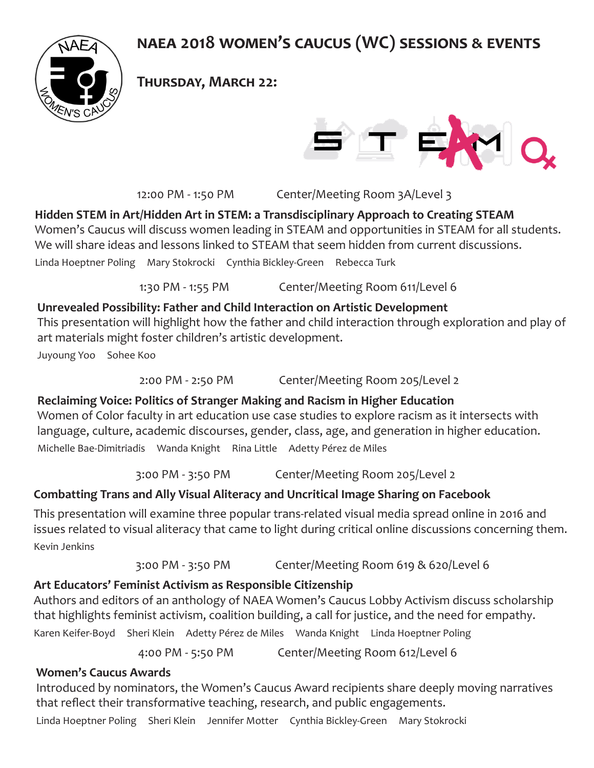

**Thursday, March 22:**



12:00 PM - 1:50 PM Center/Meeting Room 3A/Level 3

### **Hidden STEM in Art/Hidden Art in STEM: a Transdisciplinary Approach to Creating STEAM**

Women's Caucus will discuss women leading in STEAM and opportunities in STEAM for all students. We will share ideas and lessons linked to STEAM that seem hidden from current discussions.

Linda Hoeptner Poling Mary Stokrocki Cynthia Bickley-Green Rebecca Turk

1:30 PM - 1:55 PM Center/Meeting Room 611/Level 6

#### **Unrevealed Possibility: Father and Child Interaction on Artistic Development**

This presentation will highlight how the father and child interaction through exploration and play of art materials might foster children's artistic development.

Juyoung Yoo Sohee Koo

2:00 PM - 2:50 PM Center/Meeting Room 205/Level 2

### **Reclaiming Voice: Politics of Stranger Making and Racism in Higher Education**  Women of Color faculty in art education use case studies to explore racism as it intersects with language, culture, academic discourses, gender, class, age, and generation in higher education.

Michelle Bae-Dimitriadis Wanda Knight Rina Little Adetty Pérez de Miles

3:00 PM - 3:50 PM Center/Meeting Room 205/Level 2

## **Combatting Trans and Ally Visual Aliteracy and Uncritical Image Sharing on Facebook**

This presentation will examine three popular trans-related visual media spread online in 2016 and issues related to visual aliteracy that came to light during critical online discussions concerning them. Kevin Jenkins

3:00 PM - 3:50 PM Center/Meeting Room 619 & 620/Level 6

## **Art Educators' Feminist Activism as Responsible Citizenship**

Authors and editors of an anthology of NAEA Women's Caucus Lobby Activism discuss scholarship that highlights feminist activism, coalition building, a call for justice, and the need for empathy. Karen Keifer-Boyd Sheri Klein Adetty Pérez de Miles Wanda Knight Linda Hoeptner Poling

4:00 PM - 5:50 PM Center/Meeting Room 612/Level 6

## **Women's Caucus Awards**

Introduced by nominators, the Women's Caucus Award recipients share deeply moving narratives that reflect their transformative teaching, research, and public engagements.

Linda Hoeptner Poling Sheri Klein Jennifer Motter Cynthia Bickley-Green Mary Stokrocki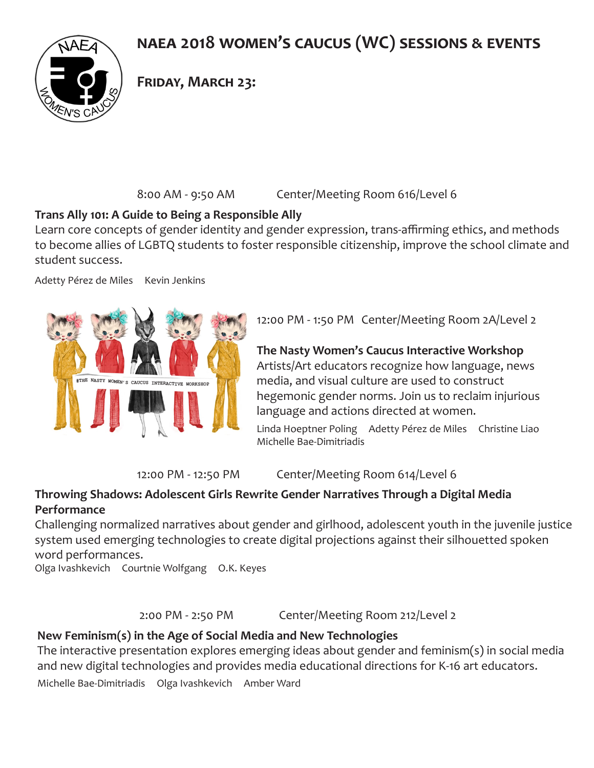

### **Friday, March 23:**

8:00 AM - 9:50 AM Center/Meeting Room 616/Level 6

#### **Trans Ally 101: A Guide to Being a Responsible Ally**

Learn core concepts of gender identity and gender expression, trans-affirming ethics, and methods to become allies of LGBTQ students to foster responsible citizenship, improve the school climate and student success.

Adetty Pérez de Miles Kevin Jenkins



12:00 PM - 1:50 PM Center/Meeting Room 2A/Level 2

**The Nasty Women's Caucus Interactive Workshop** Artists/Art educators recognize how language, news media, and visual culture are used to construct hegemonic gender norms. Join us to reclaim injurious language and actions directed at women.

Linda Hoeptner Poling Adetty Pérez de Miles Christine Liao Michelle Bae-Dimitriadis

12:00 PM - 12:50 PM Center/Meeting Room 614/Level 6

#### **Throwing Shadows: Adolescent Girls Rewrite Gender Narratives Through a Digital Media Performance**

Challenging normalized narratives about gender and girlhood, adolescent youth in the juvenile justice system used emerging technologies to create digital projections against their silhouetted spoken word performances.

Olga Ivashkevich Courtnie Wolfgang O.K. Keyes

2:00 PM - 2:50 PM Center/Meeting Room 212/Level 2

#### **New Feminism(s) in the Age of Social Media and New Technologies**

The interactive presentation explores emerging ideas about gender and feminism(s) in social media and new digital technologies and provides media educational directions for K-16 art educators.

Michelle Bae-Dimitriadis Olga Ivashkevich Amber Ward